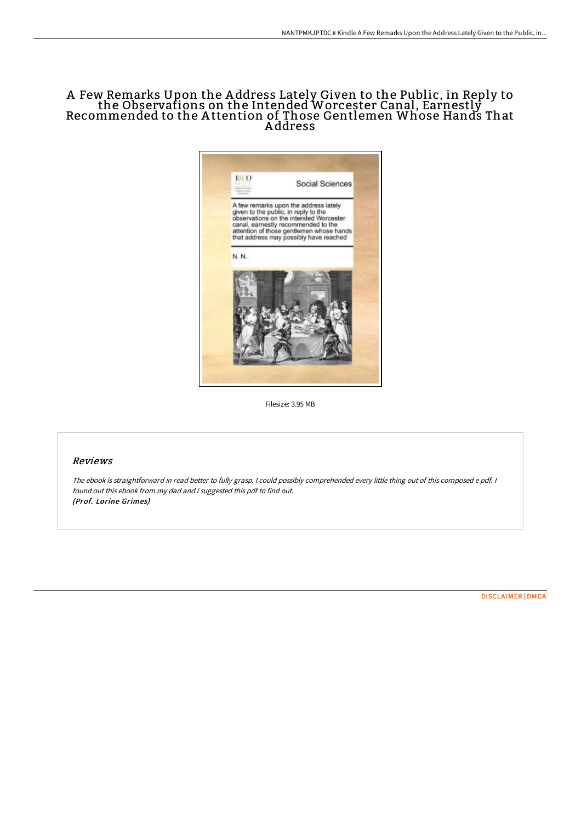# A Few Remarks Upon the A ddress Lately Given to the Public, in Reply to the Observations on the Intended Worcester Canal, Earnestly Recommended to the A ttention of Those Gentlemen Whose Hands That A ddress



Filesize: 3.95 MB

### Reviews

The ebook is straightforward in read better to fully grasp. <sup>I</sup> could possibly comprehended every little thing out of this composed <sup>e</sup> pdf. <sup>I</sup> found out this ebook from my dad and i suggested this pdf to find out. (Prof. Lorine Grimes)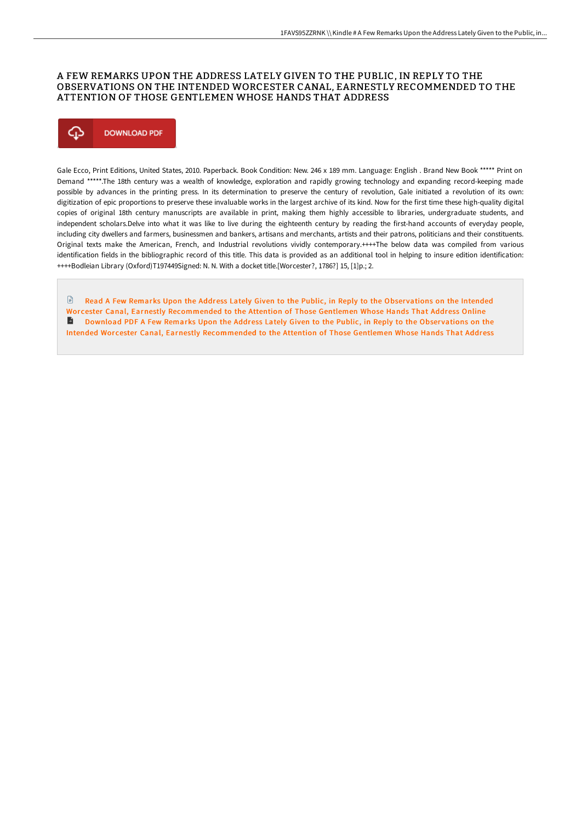### A FEW REMARKS UPON THE ADDRESS LATELY GIVEN TO THE PUBLIC, IN REPLY TO THE OBSERVATIONS ON THE INTENDED WORCESTER CANAL, EARNESTLY RECOMMENDED TO THE ATTENTION OF THOSE GENTLEMEN WHOSE HANDS THAT ADDRESS



Gale Ecco, Print Editions, United States, 2010. Paperback. Book Condition: New. 246 x 189 mm. Language: English . Brand New Book \*\*\*\*\* Print on Demand \*\*\*\*\*.The 18th century was a wealth of knowledge, exploration and rapidly growing technology and expanding record-keeping made possible by advances in the printing press. In its determination to preserve the century of revolution, Gale initiated a revolution of its own: digitization of epic proportions to preserve these invaluable works in the largest archive of its kind. Now for the first time these high-quality digital copies of original 18th century manuscripts are available in print, making them highly accessible to libraries, undergraduate students, and independent scholars.Delve into what it was like to live during the eighteenth century by reading the first-hand accounts of everyday people, including city dwellers and farmers, businessmen and bankers, artisans and merchants, artists and their patrons, politicians and their constituents. Original texts make the American, French, and Industrial revolutions vividly contemporary.++++The below data was compiled from various identification fields in the bibliographic record of this title. This data is provided as an additional tool in helping to insure edition identification: ++++Bodleian Library (Oxford)T197449Signed: N. N. With a docket title.[Worcester?, 1786?] 15, [1]p.; 2.

**E** Read A Few Remarks Upon the Address Lately Given to the Public, in Reply to the Observations on the Intended Worcester Canal, Earnestly [Recommended](http://digilib.live/a-few-remarks-upon-the-address-lately-given-to-t.html) to the Attention of Those Gentlemen Whose Hands That Address Online **Download PDF A Few Remarks Upon the Address Lately Given to the Public, in Reply to the Observations on the** Intended Wor cester Canal, Earnestly [Recommended](http://digilib.live/a-few-remarks-upon-the-address-lately-given-to-t.html) to the Attention of Those Gentlemen Whose Hands That Address